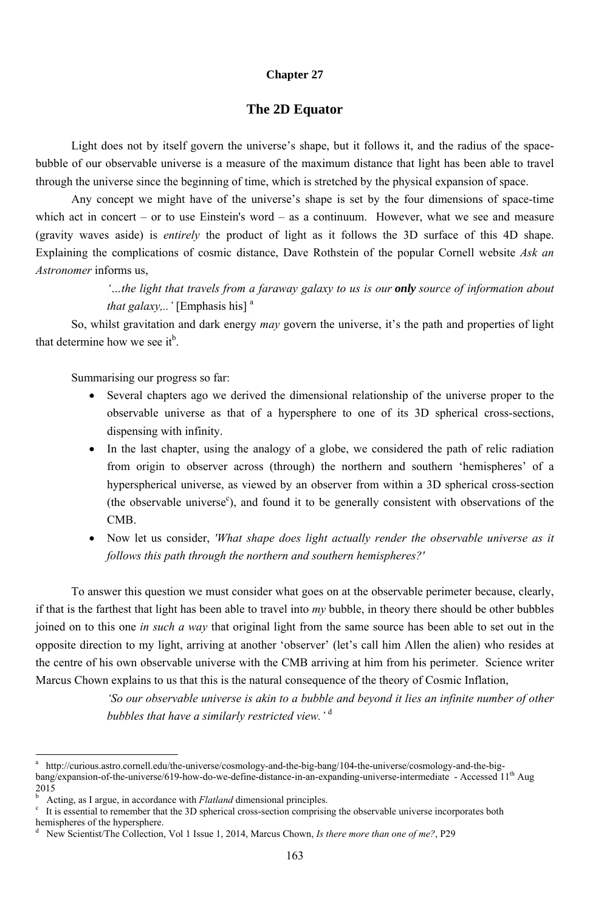163

### **Chapter 27**

## **The 2D Equator**

Light does not by itself govern the universe's shape, but it follows it, and the radius of the spacebubble of our observable universe is a measure of the maximum distance that light has been able to travel through the universe since the beginning of time, which is stretched by the physical expansion of space.

So, whilst gravitation and dark energy *may* govern the universe, it's the path and properties of light that determine how we see it<sup>b</sup>.

Any concept we might have of the universe's shape is set by the four dimensions of space-time which act in concert – or to use Einstein's word – as a continuum. However, what we see and measure (gravity waves aside) is *entirely* the product of light as it follows the 3D surface of this 4D shape. Explaining the complications of cosmic distance, Dave Rothstein of the popular Cornell website *Ask an Astronomer* informs us,

> *'…the light that travels from a faraway galaxy to us is our only source of information about that galaxy,..'* [Emphasis his] a

Summarising our progress so far:

<sup>-</sup>

- Several chapters ago we derived the dimensional relationship of the universe proper to the observable universe as that of a hypersphere to one of its 3D spherical cross-sections, dispensing with infinity.
- In the last chapter, using the analogy of a globe, we considered the path of relic radiation from origin to observer across (through) the northern and southern 'hemispheres' of a hyperspherical universe, as viewed by an observer from within a 3D spherical cross-section (the observable universe $\epsilon$ ), and found it to be generally consistent with observations of the CMB.
- Now let us consider, *'What shape does light actually render the observable universe as it follows this path through the northern and southern hemispheres?'*

To answer this question we must consider what goes on at the observable perimeter because, clearly, if that is the farthest that light has been able to travel into *my* bubble, in theory there should be other bubbles joined on to this one *in such a way* that original light from the same source has been able to set out in the opposite direction to my light, arriving at another 'observer' (let's call him Λllen the alien) who resides at the centre of his own observable universe with the CMB arriving at him from his perimeter. Science writer

Marcus Chown explains to us that this is the natural consequence of the theory of Cosmic Inflation,

*'So our observable universe is akin to a bubble and beyond it lies an infinite number of other bubbles that have a similarly restricted view.'* <sup>d</sup>

b Acting, as I argue, in accordance with *Flatland* dimensional principles.

a http://curious.astro.cornell.edu/the-universe/cosmology-and-the-big-bang/104-the-universe/cosmology-and-the-bigbang/expansion-of-the-universe/619-how-do-we-define-distance-in-an-expanding-universe-intermediate - Accessed 11<sup>th</sup> Aug 2015

It is essential to remember that the 3D spherical cross-section comprising the observable universe incorporates both hemispheres of the hypersphere.

d New Scientist/The Collection, Vol 1 Issue 1, 2014, Marcus Chown, *Is there more than one of me?*, P29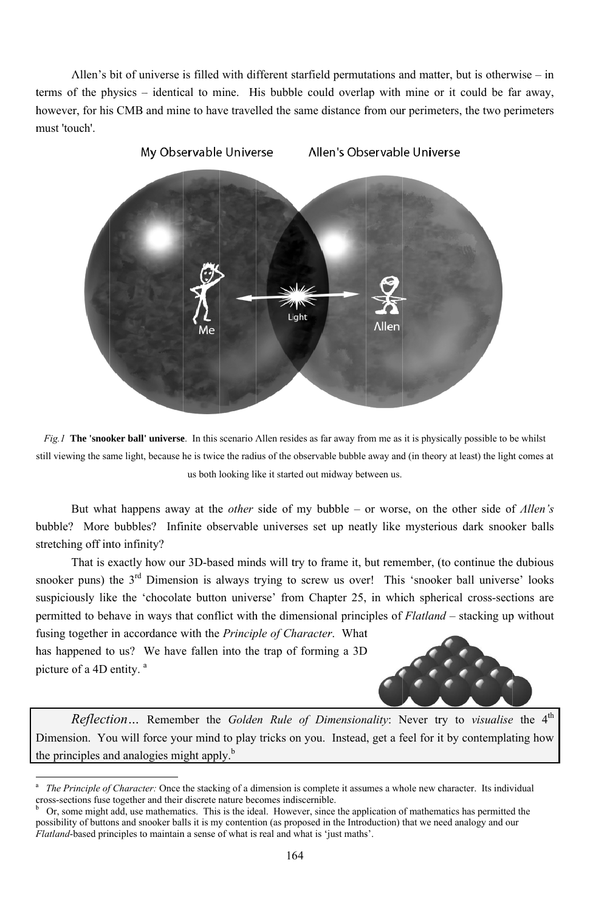Allen's bit of universe is filled with different starfield permutations and matter, but is otherwise – in terms of the physics – identical to mine. His bubble could overlap with mine or it could be far away, however, for his CMB and mine to have travelled the same distance from our perimeters, the two perimeters must 'touch'.



Fig. I The 'snooker ball' universe. In this scenario Allen resides as far away from me as it is physically possible to be whilst still viewing the same light, because he is twice the radius of the observable bubble away and (in theory at least) the light comes at us both looking like it started out midway between us.

But what happens away at the *other* side of my bubble – or worse, on the other side of *Allen's* bubble? More bubbles? Infinite observable universes set up neatly like mysterious dark snooker balls stretching off into infinity?

That is exactly how our 3D-based minds will try to frame it, but remember, (to continue the dubious snooker puns) the 3<sup>rd</sup> Dimension is always trying to screw us over! This 'snooker ball universe' looks suspiciously like the 'chocolate button universe' from Chapter 25, in which spherical cross-sections are permitted to behave in ways that conflict with the dimensional principles of *Flatland* – stacking up without fusing together in accordance with the Principle of Character. What

has happened to us? We have fallen into the trap of forming a 3D picture of a 4D entity.<sup>a</sup>



Reflection... Remember the Golden Rule of Dimensionality: Never try to visualise the 4<sup>th</sup> Dimension. You will force your mind to play tricks on you. Instead, get a feel for it by contemplating how the principles and analogies might apply.<sup>b</sup>

164

The Principle of Character: Once the stacking of a dimension is complete it assumes a whole new character. Its individual cross-sections fuse together and their discrete nature becomes indiscernible.

 $\mathbf b$ Or, some might add, use mathematics. This is the ideal. However, since the application of mathematics has permitted the possibility of buttons and snooker balls it is my contention (as proposed in the Introduction) that we need analogy and our *Flatland*-based principles to maintain a sense of what is real and what is 'just maths'.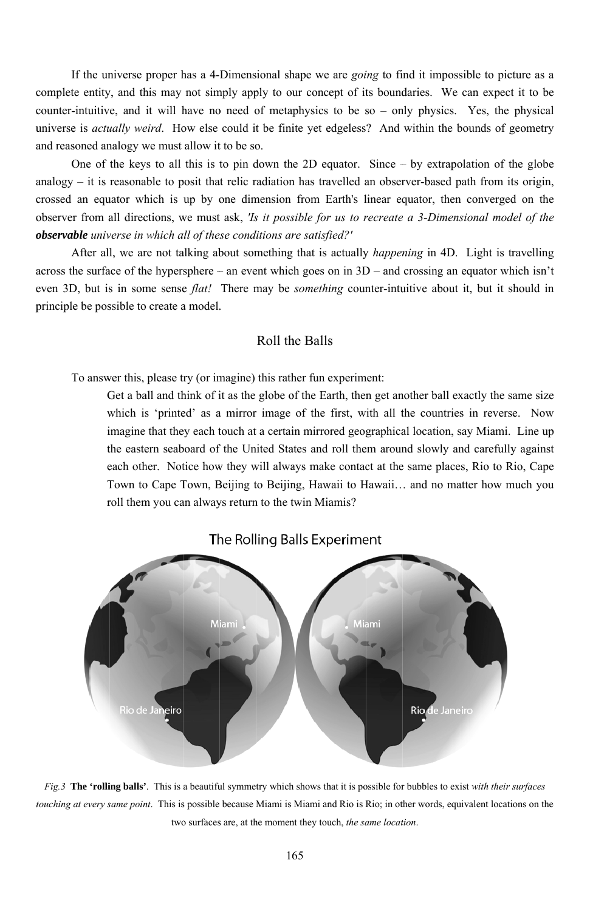complete entity, and this may not simply apply to our concept of its boundaries. We can expect it to be counter-intuitive, and it will have no need of metaphysics to be so – only physics. Yes, the physical universe is *actually weird*. How else could it be finite yet edgeless? And within the bounds of geometry and reasoned analogy we must allow it to be so. If the universe proper has a 4-Dimensional shape we are *going* to find it impossible to picture as a

analogy – it is reasonable to posit that relic radiation has travelled an observer-based path from its origin, crossed an equator which is up by one dimension from Earth's linear equator, then converged on the observer from all directions, we must ask, *'Is it possible for us to recreate a 3-Dimensional model of the observable universe in which all of these conditions are satisfied?'* One of the keys to all this is to pin down the 2D equator. Since  $-$  by extrapolation of the globe

After all, we are not talking about something that is actually *happening* in 4D. Light is travelling across the surface of the hypersphere – an event which goes on in 3D – and crossing an equator which isn't even 3D, but is in some sense *flat!* There may be *something* counter-intuitive about it, but it should in principle be possible to create a model. After all, we are not talking about something that is actually *happening* in 4D. Light is travelling le be possible to create a model.<br>
Roll the Balls<br>
To answer this, please try (or imagine) this rather fun experiment: n<br>e

### Roll the Balls

Get a ball and think of it as the globe of the Earth, then get another ball exactly the same siz which is 'printed' as a mirror image of the first, with all the countries in reverse. Now imagine that they each touch at a certain mirrored geographical location, say Miami. Line up the eastern seaboard of the United States and roll them around slowly and carefully agains each other. Notice how they will always make contact at the same places, Rio to Rio, Cape Town to Cape Town, Beijing to Beijing, Hawaii to Hawaii... and no matter how much you roll them you can always return to the twin Miamis? w<br>ıp<br>.st





touching at every same point. This is possible because Miami is Miami and Rio is Rio; in other words, equivalent locations on the *Fig.* 3 The 'rolling balls'. This is a beautiful symmetry which shows that it is possible for bubbles to exist *with their surfaces* two surfaces are, at the moment they touch, the same location.

16 65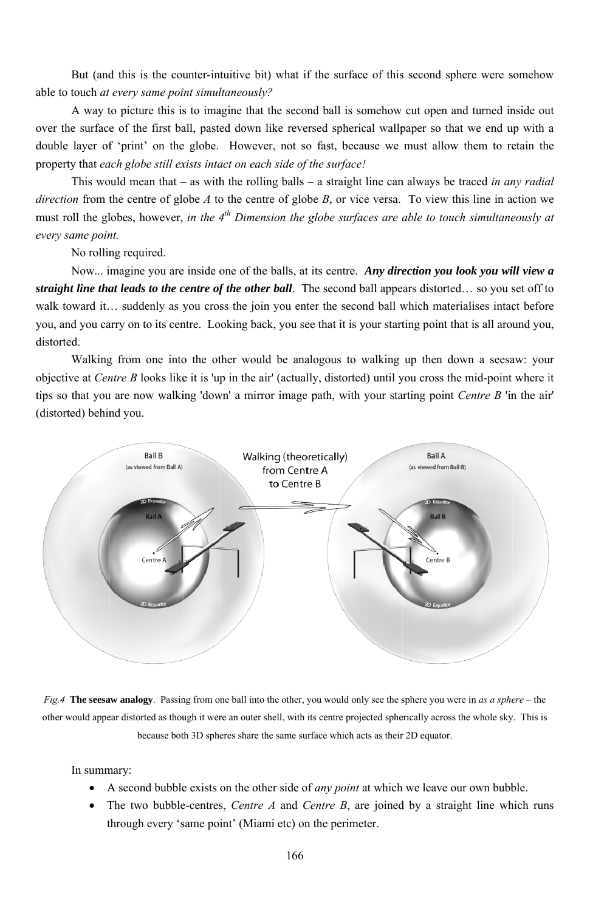But (and this is the counter-intuitive bit) what if the surface of this second sphere were somehow able to touch at every same point simultaneously?

A way to picture this is to imagine that the second ball is somehow cut open and turned inside out over the surface of the first ball, pasted down like reversed spherical wallpaper so that we end up with a double layer of 'print' on the globe. However, not so fast, because we must allow them to retain the property that each globe still exists intact on each side of the surface!

This would mean that – as with the rolling balls – a straight line can always be traced in any radial *direction* from the centre of globe A to the centre of globe B, or vice versa. To view this line in action we must roll the globes, however, in the  $4^{th}$  Dimension the globe surfaces are able to touch simultaneously at every same point.

No rolling required.

Now... imagine you are inside one of the balls, at its centre. Any direction you look you will view a straight line that leads to the centre of the other ball. The second ball appears distorted... so you set off to walk toward it... suddenly as you cross the join you enter the second ball which materialises intact before you, and you carry on to its centre. Looking back, you see that it is your starting point that is all around you, distorted.

Walking from one into the other would be analogous to walking up then down a seesaw: your objective at *Centre B* looks like it is 'up in the air' (actually, distorted) until you cross the mid-point where it tips so that you are now walking 'down' a mirror image path, with your starting point *Centre B* 'in the air' (distorted) behind you.



Fig. 4 The seesaw analogy. Passing from one ball into the other, you would only see the sphere you were in as a sphere – the other would appear distorted as though it were an outer shell, with its centre projected spherically across the whole sky. This is because both 3D spheres share the same surface which acts as their 2D equator.

In summary:

- A second bubble exists on the other side of *any point* at which we leave our own bubble.
- The two bubble-centres, *Centre A* and *Centre B*, are joined by a straight line which runs  $\bullet$ through every 'same point' (Miami etc) on the perimeter.

166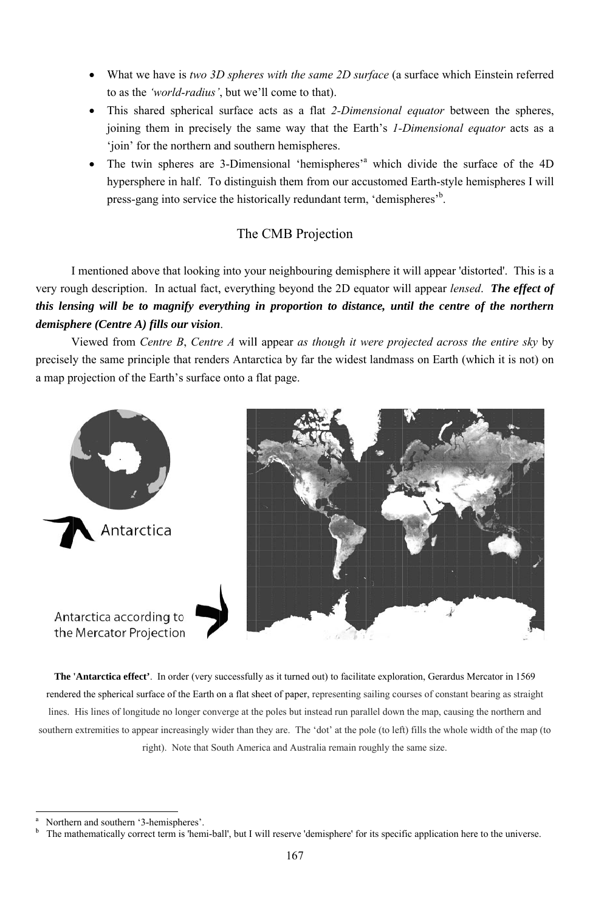- What we have is two 3D spheres with the same 2D surface (a surface which Einstein referred to as the *'world-radius'*, but we'll come to that).
- This shared spherical surface acts as a flat 2-Dimensional equator between the spheres, joining them in precisely the same way that the Earth's 1-Dimensional equator acts as a 'join' for the northern and southern hemispheres.
- The twin spheres are 3-Dimensional 'hemispheres'<sup>a</sup> which divide the surface of the 4D hypersphere in half. To distinguish them from our accustomed Earth-style hemispheres I will press-gang into service the historically redundant term, 'demispheres'<sup>b</sup>.

# The CMB Projection

I mentioned above that looking into your neighbouring demisphere it will appear 'distorted'. This is a very rough description. In actual fact, everything beyond the 2D equator will appear *lensed*. The effect of this lensing will be to magnify everything in proportion to distance, until the centre of the northern demisphere (Centre A) fills our vision.

Viewed from Centre B, Centre A will appear as though it were projected across the entire sky by precisely the same principle that renders Antarctica by far the widest landmass on Earth (which it is not) on a map projection of the Earth's surface onto a flat page.



Antarctica according to the Mercator Projection



**The 'Antarctica effect'**. In order (very successfully as it turned out) to facilitate exploration, Gerardus Mercator in 1569 rendered the spherical surface of the Earth on a flat sheet of paper, representing sailing courses of constant bearing as straight lines. His lines of longitude no longer converge at the poles but instead run parallel down the map, causing the northern and southern extremities to appear increasingly wider than they are. The 'dot' at the pole (to left) fills the whole width of the map (to right). Note that South America and Australia remain roughly the same size.

Northern and southern '3-hemispheres'.

 $\mathbf b$ The mathematically correct term is 'hemi-ball', but I will reserve 'demisphere' for its specific application here to the universe.

<sup>167</sup>